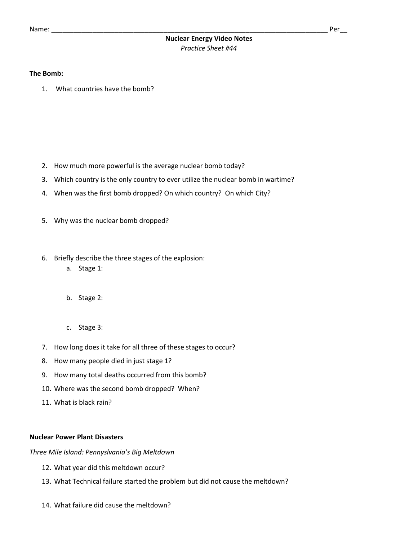# **Nuclear Energy Video Notes** *Practice Sheet #44*

## **The Bomb:**

1. What countries have the bomb?

- 2. How much more powerful is the average nuclear bomb today?
- 3. Which country is the only country to ever utilize the nuclear bomb in wartime?
- 4. When was the first bomb dropped? On which country? On which City?
- 5. Why was the nuclear bomb dropped?
- 6. Briefly describe the three stages of the explosion:
	- a. Stage 1:
	- b. Stage 2:
	- c. Stage 3:
- 7. How long does it take for all three of these stages to occur?
- 8. How many people died in just stage 1?
- 9. How many total deaths occurred from this bomb?
- 10. Where was the second bomb dropped? When?
- 11. What is black rain?

## **Nuclear Power Plant Disasters**

*Three Mile Island: Pennyslvania's Big Meltdown*

- 12. What year did this meltdown occur?
- 13. What Technical failure started the problem but did not cause the meltdown?
- 14. What failure did cause the meltdown?